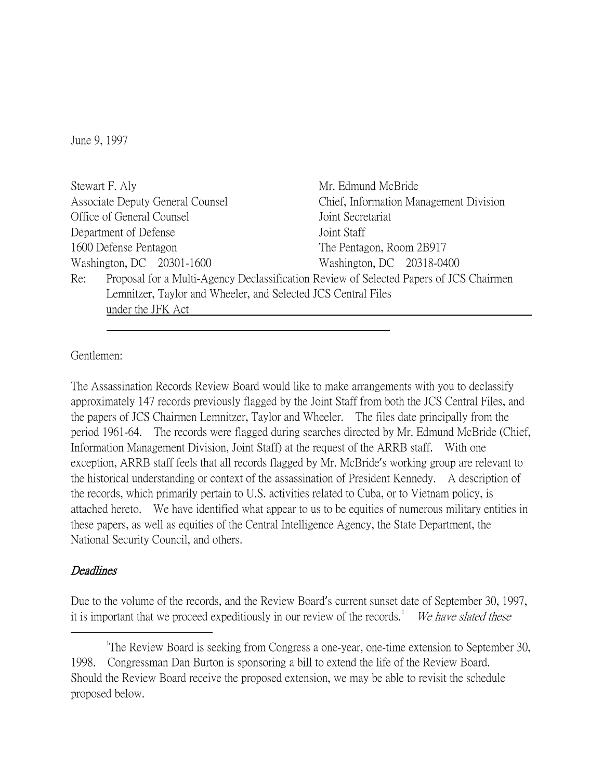June 9, 1997

| Stewart F. Aly                                                                                | Mr. Edmund McBride                     |
|-----------------------------------------------------------------------------------------------|----------------------------------------|
| Associate Deputy General Counsel                                                              | Chief, Information Management Division |
| Office of General Counsel                                                                     | Joint Secretariat                      |
| Department of Defense                                                                         | Joint Staff                            |
| 1600 Defense Pentagon                                                                         | The Pentagon, Room 2B917               |
| Washington, DC 20301-1600                                                                     | Washington, DC 20318-0400              |
| Proposal for a Multi-Agency Declassification Review of Selected Papers of JCS Chairmen<br>Re: |                                        |
| Lemnitzer, Taylor and Wheeler, and Selected JCS Central Files                                 |                                        |
| under the JFK Act                                                                             |                                        |

Gentlemen:

The Assassination Records Review Board would like to make arrangements with you to declassify approximately 147 records previously flagged by the Joint Staff from both the JCS Central Files, and the papers of JCS Chairmen Lemnitzer, Taylor and Wheeler. The files date principally from the period 1961-64. The records were flagged during searches directed by Mr. Edmund McBride (Chief, Information Management Division, Joint Staff) at the request of the ARRB staff. With one exception, ARRB staff feels that all records flagged by Mr. McBride's working group are relevant to the historical understanding or context of the assassination of President Kennedy. A description of the records, which primarily pertain to U.S. activities related to Cuba, or to Vietnam policy, is attached hereto. We have identified what appear to us to be equities of numerous military entities in these papers, as well as equities of the Central Intelligence Agency, the State Department, the National Security Council, and others.

## **Deadlines**

Due to the volume of the records, and the Review Board's current sunset date of September 30, 1997, it is important that we proceed expeditiously in our review of the records.<sup>[1](#page-0-0)</sup> We have slated these

<span id="page-0-0"></span> $\overline{\phantom{a}}$ <sup>1</sup>The Review Board is seeking from Congress a one-year, one-time extension to September 30, 1998. Congressman Dan Burton is sponsoring a bill to extend the life of the Review Board. Should the Review Board receive the proposed extension, we may be able to revisit the schedule proposed below.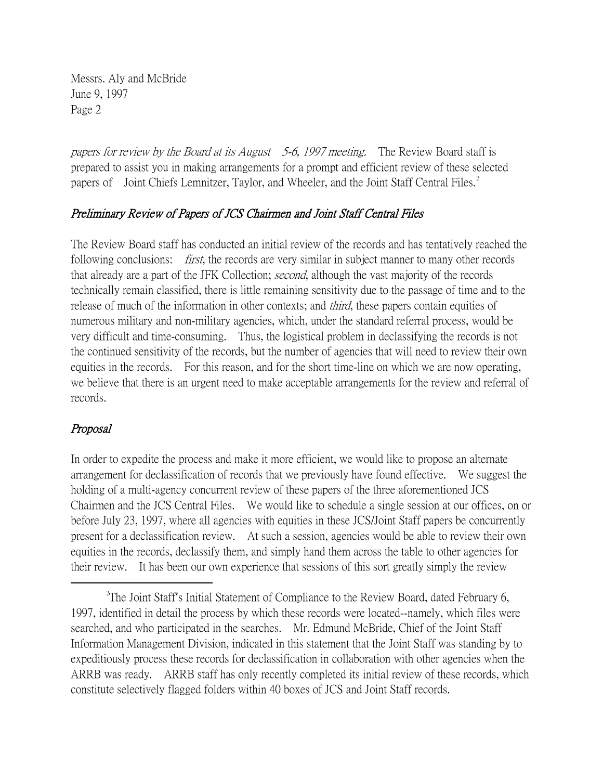Messrs. Aly and McBride June 9, 1997 Page 2

papers for review by the Board at its August 5-6, 1997 meeting. The Review Board staff is prepared to assist you in making arrangements for a prompt and efficient review of these selected papers of Joint Chiefs Lemnitzer, Taylor, and Wheeler, and the Joint Staff Central Files.<sup>[2](#page-1-0)</sup>

## Preliminary Review of Papers of JCS Chairmen and Joint Staff Central Files

The Review Board staff has conducted an initial review of the records and has tentatively reached the following conclusions: *first*, the records are very similar in subject manner to many other records that already are a part of the JFK Collection; second, although the vast majority of the records technically remain classified, there is little remaining sensitivity due to the passage of time and to the release of much of the information in other contexts; and *third*, these papers contain equities of numerous military and non-military agencies, which, under the standard referral process, would be very difficult and time-consuming. Thus, the logistical problem in declassifying the records is not the continued sensitivity of the records, but the number of agencies that will need to review their own equities in the records. For this reason, and for the short time-line on which we are now operating, we believe that there is an urgent need to make acceptable arrangements for the review and referral of records.

## Proposal

In order to expedite the process and make it more efficient, we would like to propose an alternate arrangement for declassification of records that we previously have found effective. We suggest the holding of a multi-agency concurrent review of these papers of the three aforementioned JCS Chairmen and the JCS Central Files. We would like to schedule a single session at our offices, on or before July 23, 1997, where all agencies with equities in these JCS/Joint Staff papers be concurrently present for a declassification review. At such a session, agencies would be able to review their own equities in the records, declassify them, and simply hand them across the table to other agencies for their review. It has been our own experience that sessions of this sort greatly simply the review

<span id="page-1-0"></span> $\overline{\phantom{a}}$   $\overline{\phantom{a}}$   $\overline{\phantom{a}}$   $\overline{\phantom{a}}$  $T$ The Joint Staff's Initial Statement of Compliance to the Review Board, dated February 6, 1997, identified in detail the process by which these records were located--namely, which files were searched, and who participated in the searches. Mr. Edmund McBride, Chief of the Joint Staff Information Management Division, indicated in this statement that the Joint Staff was standing by to expeditiously process these records for declassification in collaboration with other agencies when the ARRB was ready. ARRB staff has only recently completed its initial review of these records, which constitute selectively flagged folders within 40 boxes of JCS and Joint Staff records.